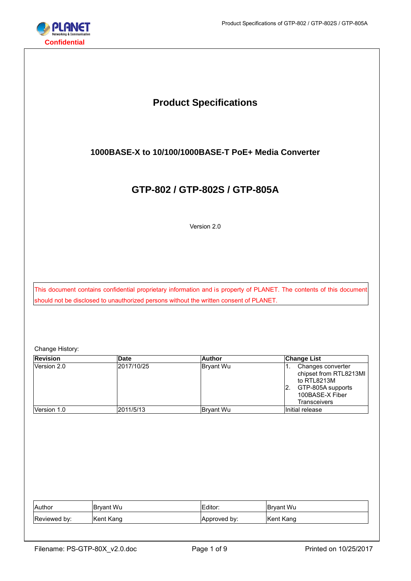# **Product Specifications 1000BASE-X to 10/100/1000BASE-T PoE+ Media Converter GTP-802 / GTP-802S / GTP-805A** Version 2.0

This document contains confidential proprietary information and is property of PLANET. The contents of this document should not be disclosed to unauthorized persons without the written consent of PLANET.

Change History:

| <b>Revision</b> | <b>Date</b> | <b>Author</b>     | <b>Change List</b>                                                                                                        |
|-----------------|-------------|-------------------|---------------------------------------------------------------------------------------------------------------------------|
| Version 2.0     | 2017/10/25  | <b>Bryant Wu</b>  | Changes converter<br>chipset from RTL8213MI<br>to RTL8213M<br>GTP-805A supports<br>100BASE-X Fiber<br><b>Transceivers</b> |
| Version 1.0     | 2011/5/13   | <b>IBrvant Wu</b> | Initial release                                                                                                           |

| Author       | <b>Bryant Wu</b> | <b>Editor:</b> | <b>Bryant Wu</b> |
|--------------|------------------|----------------|------------------|
| Reviewed by: | Kent Kang        | Approved by:   | Kent Kang        |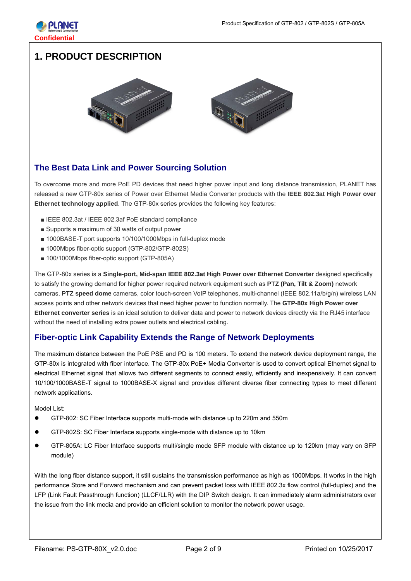

# **1. PRODUCT DESCRIPTION**





# **The Best Data Link and Power Sourcing Solution**

To overcome more and more PoE PD devices that need higher power input and long distance transmission, PLANET has released a new GTP-80x series of Power over Ethernet Media Converter products with the **IEEE 802.3at High Power over Ethernet technology applied**. The GTP-80x series provides the following key features:

- IEEE 802.3at / IEEE 802.3af PoE standard compliance
- Supports a maximum of 30 watts of output power
- 1000BASE-T port supports 10/100/1000Mbps in full-duplex mode
- 1000Mbps fiber-optic support (GTP-802/GTP-802S)
- 100/1000Mbps fiber-optic support (GTP-805A)

The GTP-80x series is a **Single-port, Mid-span IEEE 802.3at High Power over Ethernet Converter** designed specifically to satisfy the growing demand for higher power required network equipment such as **PTZ (Pan, Tilt & Zoom)** network cameras, **PTZ speed dome** cameras, color touch-screen VoIP telephones, multi-channel (IEEE 802.11a/b/g/n) wireless LAN access points and other network devices that need higher power to function normally. The **GTP-80x High Power over Ethernet converter series** is an ideal solution to deliver data and power to network devices directly via the RJ45 interface without the need of installing extra power outlets and electrical cabling.

## **Fiber-optic Link Capability Extends the Range of Network Deployments**

The maximum distance between the PoE PSE and PD is 100 meters. To extend the network device deployment range, the GTP-80x is integrated with fiber interface. The GTP-80x PoE+ Media Converter is used to convert optical Ethernet signal to electrical Ethernet signal that allows two different segments to connect easily, efficiently and inexpensively. It can convert 10/100/1000BASE-T signal to 1000BASE-X signal and provides different diverse fiber connecting types to meet different network applications.

Model List:

- GTP-802: SC Fiber Interface supports multi-mode with distance up to 220m and 550m
- GTP-802S: SC Fiber Interface supports single-mode with distance up to 10km
- GTP-805A: LC Fiber Interface supports multi/single mode SFP module with distance up to 120km (may vary on SFP module)

With the long fiber distance support, it still sustains the transmission performance as high as 1000Mbps. It works in the high performance Store and Forward mechanism and can prevent packet loss with IEEE 802.3x flow control (full-duplex) and the LFP (Link Fault Passthrough function) (LLCF/LLR) with the DIP Switch design. It can immediately alarm administrators over the issue from the link media and provide an efficient solution to monitor the network power usage.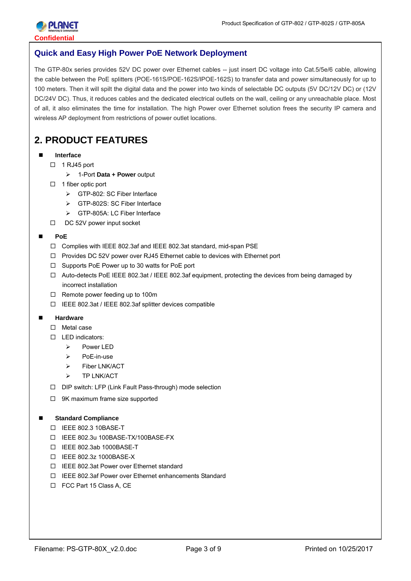

# **Quick and Easy High Power PoE Network Deployment**

The GTP-80x series provides 52V DC power over Ethernet cables -- just insert DC voltage into Cat.5/5e/6 cable, allowing the cable between the PoE splitters (POE-161S/POE-162S/IPOE-162S) to transfer data and power simultaneously for up to 100 meters. Then it will spilt the digital data and the power into two kinds of selectable DC outputs (5V DC/12V DC) or (12V DC/24V DC). Thus, it reduces cables and the dedicated electrical outlets on the wall, ceiling or any unreachable place. Most of all, it also eliminates the time for installation. The high Power over Ethernet solution frees the security IP camera and wireless AP deployment from restrictions of power outlet locations.

# **2. PRODUCT FEATURES**

- **Interface**
	- $\Box$  1 RJ45 port
		- 1-Port **Data + Power** output
	- $\Box$  1 fiber optic port
		- SC Fiber Interface
		- ▶ GTP-802S: SC Fiber Interface
		- S GTP-805A: LC Fiber Interface
	- DC 52V power input socket

#### **PoE**

- Complies with IEEE 802.3af and IEEE 802.3at standard, mid-span PSE
- $\Box$  Provides DC 52V power over RJ45 Ethernet cable to devices with Ethernet port
- $\Box$  Supports PoE Power up to 30 watts for PoE port
- Auto-detects PoE IEEE 802.3at / IEEE 802.3af equipment, protecting the devices from being damaged by incorrect installation
- $\Box$  Remote power feeding up to 100m
- IEEE 802.3at / IEEE 802.3af splitter devices compatible

#### **Hardware**

- □ Metal case
- $\Pi$  LED indicators:
	- > Power LED
	- $\triangleright$  PoE-in-use
	- Fiber LNK/ACT
	- > TP LNK/ACT
- □ DIP switch: LFP (Link Fault Pass-through) mode selection
- □ 9K maximum frame size supported

#### **Standard Compliance**

- IEEE 802.3 10BASE-T
- IEEE 802.3u 100BASE-TX/100BASE-FX
- IEEE 802.3ab 1000BASE-T
- IEEE 802.3z 1000BASE-X
- IEEE 802.3at Power over Ethernet standard
- IEEE 802.3af Power over Ethernet enhancements Standard
- □ FCC Part 15 Class A, CE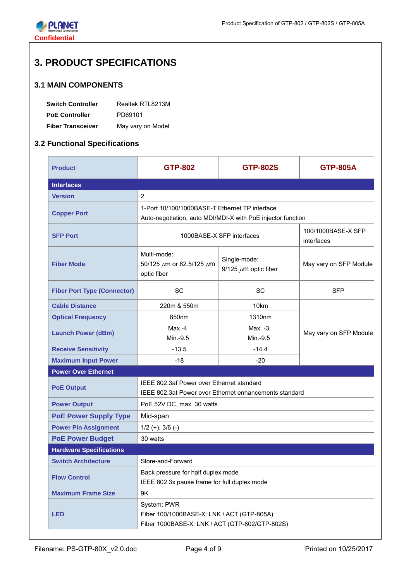

# **3. PRODUCT SPECIFICATIONS**

## **3.1 MAIN COMPONENTS**

| <b>Switch Controller</b> | Realtek RTL8213M  |
|--------------------------|-------------------|
| <b>PoE Controller</b>    | PD69101           |
| <b>Fiber Transceiver</b> | May vary on Model |

# **3.2 Functional Specifications**

| <b>Product</b>                     | <b>GTP-802</b>                                                                                                | <b>GTP-802S</b>           | <b>GTP-805A</b>                  |  |  |
|------------------------------------|---------------------------------------------------------------------------------------------------------------|---------------------------|----------------------------------|--|--|
| <b>Interfaces</b>                  |                                                                                                               |                           |                                  |  |  |
| <b>Version</b>                     | 2                                                                                                             |                           |                                  |  |  |
| <b>Copper Port</b>                 | 1-Port 10/100/1000BASE-T Ethernet TP interface<br>Auto-negotiation, auto MDI/MDI-X with PoE injector function |                           |                                  |  |  |
| <b>SFP Port</b>                    |                                                                                                               | 1000BASE-X SFP interfaces | 100/1000BASE-X SFP<br>interfaces |  |  |
| <b>Fiber Mode</b>                  | Multi-mode:<br>Single-mode:<br>50/125 $\mu$ m or 62.5/125 $\mu$ m<br>9/125 $\mu$ m optic fiber<br>optic fiber |                           | May vary on SFP Module           |  |  |
| <b>Fiber Port Type (Connector)</b> | <b>SC</b>                                                                                                     | <b>SC</b>                 | <b>SFP</b>                       |  |  |
| <b>Cable Distance</b>              | 220m & 550m                                                                                                   | 10km                      |                                  |  |  |
| <b>Optical Frequency</b>           | 850nm                                                                                                         | 1310nm                    |                                  |  |  |
| <b>Launch Power (dBm)</b>          | $Max -4$<br>Min.-9.5                                                                                          | Max. -3<br>Min.-9.5       | May vary on SFP Module           |  |  |
| <b>Receive Sensitivity</b>         | $-13.5$                                                                                                       | $-14.4$                   |                                  |  |  |
| <b>Maximum Input Power</b>         | $-18$                                                                                                         | $-20$                     |                                  |  |  |
| <b>Power Over Ethernet</b>         |                                                                                                               |                           |                                  |  |  |
| <b>PoE Output</b>                  | IEEE 802.3af Power over Ethernet standard<br>IEEE 802.3at Power over Ethernet enhancements standard           |                           |                                  |  |  |
| <b>Power Output</b>                | PoE 52V DC, max. 30 watts                                                                                     |                           |                                  |  |  |
| <b>PoE Power Supply Type</b>       | Mid-span                                                                                                      |                           |                                  |  |  |
| <b>Power Pin Assignment</b>        | $1/2 (+), 3/6 (-)$                                                                                            |                           |                                  |  |  |
| <b>PoE Power Budget</b>            | 30 watts                                                                                                      |                           |                                  |  |  |
| <b>Hardware Specifications</b>     |                                                                                                               |                           |                                  |  |  |
| <b>Switch Architecture</b>         | Store-and-Forward                                                                                             |                           |                                  |  |  |
| <b>Flow Control</b>                | Back pressure for half duplex mode<br>IEEE 802.3x pause frame for full duplex mode                            |                           |                                  |  |  |
| <b>Maximum Frame Size</b>          | 9K                                                                                                            |                           |                                  |  |  |
| <b>LED</b>                         | System: PWR<br>Fiber 100/1000BASE-X: LNK / ACT (GTP-805A)<br>Fiber 1000BASE-X: LNK / ACT (GTP-802/GTP-802S)   |                           |                                  |  |  |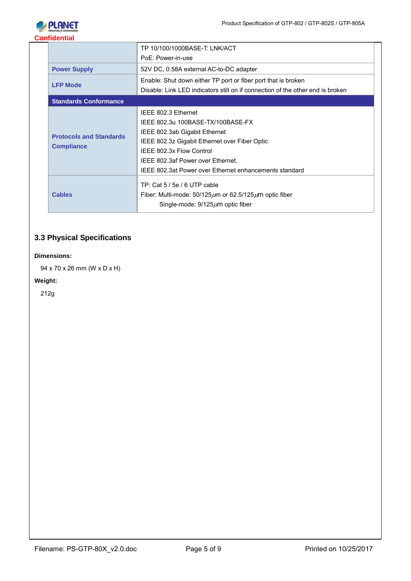

|                                | TP 10/100/1000BASE-T: LNK/ACT                                                  |  |
|--------------------------------|--------------------------------------------------------------------------------|--|
|                                | PoE: Power-in-use                                                              |  |
| <b>Power Supply</b>            | 52V DC, 0.58A external AC-to-DC adapter                                        |  |
|                                | Enable: Shut down either TP port or fiber port that is broken                  |  |
| <b>LFP Mode</b>                | Disable: Link LED indicators still on if connection of the other end is broken |  |
| <b>Standards Conformance</b>   |                                                                                |  |
|                                | IEEE 802.3 Ethernet                                                            |  |
|                                | IEEE 802.3u 100BASE-TX/100BASE-FX                                              |  |
| <b>Protocols and Standards</b> | IEEE 802.3ab Gigabit Ethernet                                                  |  |
|                                | IEEE 802.3z Gigabit Ethernet over Fiber Optic                                  |  |
| <b>Compliance</b>              | IEEE 802.3x Flow Control                                                       |  |
|                                | IEEE 802.3af Power over Ethernet.                                              |  |
|                                | IEEE 802.3at Power over Ethernet enhancements standard                         |  |
|                                | TP: Cat $5/5e/6$ UTP cable                                                     |  |
| <b>Cables</b>                  | Fiber: Multi-mode: $50/125 \mu m$ or $62.5/125 \mu m$ optic fiber              |  |
|                                | Single-mode: $9/125 \mu m$ optic fiber                                         |  |
|                                |                                                                                |  |

# **3.3 Physical Specifications**

#### **Dimensions:**

94 x 70 x 26 mm (W x D x H)

# **Weight:**

212g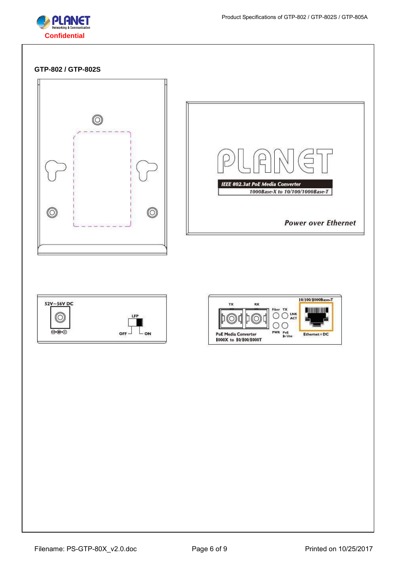

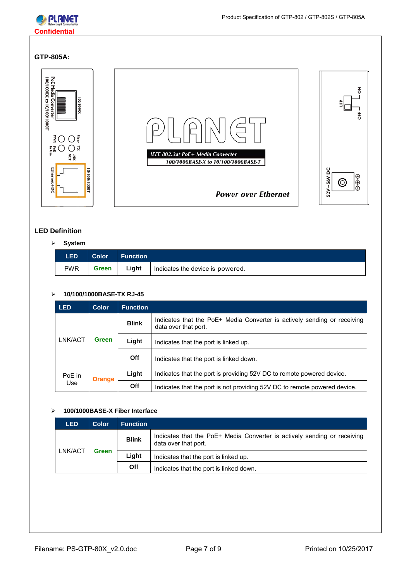

#### **GTP-805A:**



#### **LED Definition**

#### **System**

| <b>LED</b> |       | Color Function |                                  |
|------------|-------|----------------|----------------------------------|
| <b>PWR</b> | Green | Light          | Indicates the device is powered. |

#### **10/100/1000BASE-TX RJ-45**

| <b>LED</b>              | <b>Color</b> | <b>Function</b> |                                                                                                  |  |
|-------------------------|--------------|-----------------|--------------------------------------------------------------------------------------------------|--|
| LNK/ACT<br><b>Green</b> |              | <b>Blink</b>    | Indicates that the PoE+ Media Converter is actively sending or receiving<br>data over that port. |  |
|                         |              | Light           | Indicates that the port is linked up.                                                            |  |
|                         |              | Off             | Indicates that the port is linked down.                                                          |  |
| PoE in<br>Orange        |              | Light           | Indicates that the port is providing 52V DC to remote powered device.                            |  |
| Use                     |              | Off             | Indicates that the port is not providing 52V DC to remote powered device.                        |  |

#### **100/1000BASE-X Fiber Interface**

| <b>LED</b>       | <b>Color</b> | <b>Function</b>                       |                                                                                                  |
|------------------|--------------|---------------------------------------|--------------------------------------------------------------------------------------------------|
| LNK/ACT<br>Green |              | <b>Blink</b>                          | Indicates that the PoE+ Media Converter is actively sending or receiving<br>data over that port. |
|                  | Light        | Indicates that the port is linked up. |                                                                                                  |
|                  |              | Off                                   | Indicates that the port is linked down.                                                          |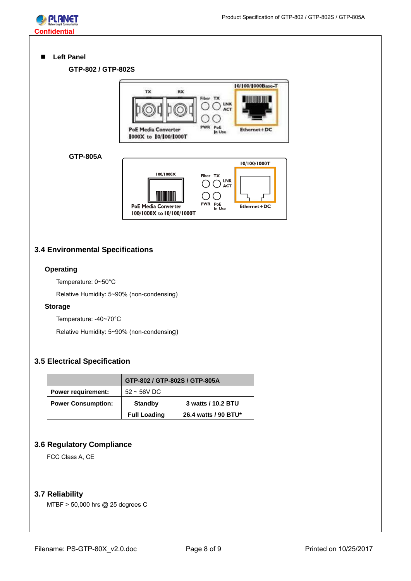

#### **Left Panel**

**GTP-802 / GTP-802S**



## **3.4 Environmental Specifications**

#### **Operating**

Temperature: 0~50°C

Relative Humidity: 5~90% (non-condensing)

#### **Storage**

Temperature: -40~70°C

Relative Humidity: 5~90% (non-condensing)

### **3.5 Electrical Specification**

|                           | GTP-802 / GTP-802S / GTP-805A |                      |  |
|---------------------------|-------------------------------|----------------------|--|
| <b>Power requirement:</b> | $52 \sim 56$ V DC             |                      |  |
| <b>Power Consumption:</b> | <b>Standby</b>                | 3 watts / 10.2 BTU   |  |
|                           | <b>Full Loading</b>           | 26.4 watts / 90 BTU* |  |

#### **3.6 Regulatory Compliance**

FCC Class A, CE

#### **3.7 Reliability**

MTBF > 50,000 hrs @ 25 degrees C